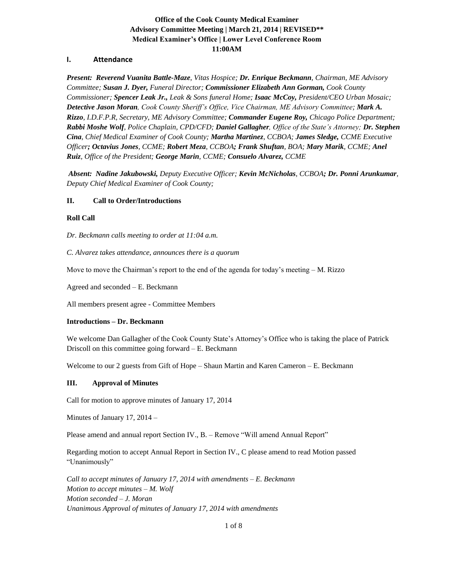# **Office of the Cook County Medical Examiner Advisory Committee Meeting | March 21, 2014 | REVISED\*\* Medical Examiner's Office | Lower Level Conference Room 11:00AM**

## **I. Attendance**

*Present: Reverend Vuanita Battle-Maze, Vitas Hospice; Dr. Enrique Beckmann, Chairman, ME Advisory Committee; Susan J. Dyer, Funeral Director; Commissioner Elizabeth Ann Gorman, Cook County Commissioner; Spencer Leak Jr., Leak & Sons funeral Home; Isaac McCoy, President/CEO Urban Mosaic; Detective Jason Moran, Cook County Sheriff's Office, Vice Chairman, ME Advisory Committee; Mark A. Rizzo, I.D.F.P.R, Secretary, ME Advisory Committee; Commander Eugene Roy, Chicago Police Department; Rabbi Moshe Wolf, Police Chaplain, CPD/CFD; Daniel Gallagher, Office of the State's Attorney; Dr. Stephen Cina, Chief Medical Examiner of Cook County; Martha Martinez, CCBOA; James Sledge, CCME Executive Officer; Octavius Jones, CCME; Robert Meza, CCBOA; Frank Shuftan, BOA; Mary Marik, CCME; Anel Ruiz, Office of the President; George Marin, CCME; Consuelo Alvarez, CCME*

*Absent: Nadine Jakubowski, Deputy Executive Officer; Kevin McNicholas, CCBOA; Dr. Ponni Arunkumar, Deputy Chief Medical Examiner of Cook County;*

### **II. Call to Order/Introductions**

### **Roll Call**

*Dr. Beckmann calls meeting to order at 11:04 a.m.* 

*C. Alvarez takes attendance, announces there is a quorum*

Move to move the Chairman's report to the end of the agenda for today's meeting  $-M$ . Rizzo

Agreed and seconded – E. Beckmann

All members present agree - Committee Members

#### **Introductions – Dr. Beckmann**

We welcome Dan Gallagher of the Cook County State's Attorney's Office who is taking the place of Patrick Driscoll on this committee going forward – E. Beckmann

Welcome to our 2 guests from Gift of Hope – Shaun Martin and Karen Cameron – E. Beckmann

### **III. Approval of Minutes**

Call for motion to approve minutes of January 17, 2014

Minutes of January 17, 2014 –

Please amend and annual report Section IV., B. – Remove "Will amend Annual Report"

Regarding motion to accept Annual Report in Section IV., C please amend to read Motion passed "Unanimously"

*Call to accept minutes of January 17, 2014 with amendments – E. Beckmann Motion to accept minutes – M. Wolf Motion seconded – J. Moran Unanimous Approval of minutes of January 17, 2014 with amendments*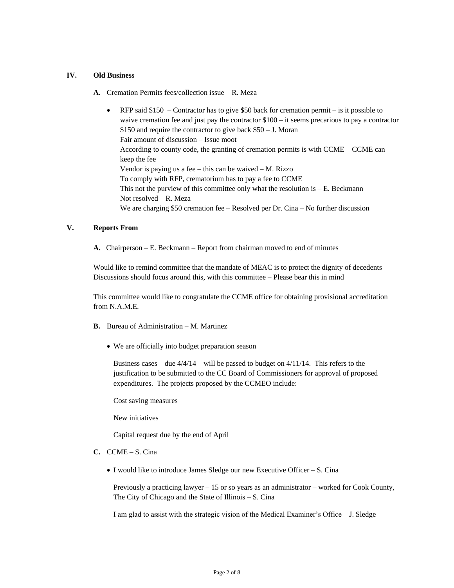### **IV. Old Business**

- **A.** Cremation Permits fees/collection issue R. Meza
	- RFP said  $$150$  Contractor has to give \$50 back for cremation permit is it possible to waive cremation fee and just pay the contractor \$100 – it seems precarious to pay a contractor \$150 and require the contractor to give back \$50 – J. Moran Fair amount of discussion – Issue moot According to county code, the granting of cremation permits is with CCME – CCME can keep the fee Vendor is paying us a fee – this can be waived – M. Rizzo To comply with RFP, crematorium has to pay a fee to CCME This not the purview of this committee only what the resolution is  $-E$ . Beckmann Not resolved – R. Meza We are charging \$50 cremation fee – Resolved per Dr. Cina – No further discussion

#### **V. Reports From**

**A.** Chairperson – E. Beckmann – Report from chairman moved to end of minutes

Would like to remind committee that the mandate of MEAC is to protect the dignity of decedents – Discussions should focus around this, with this committee – Please bear this in mind

This committee would like to congratulate the CCME office for obtaining provisional accreditation from N.A.M.E.

- **B.** Bureau of Administration M. Martinez
	- We are officially into budget preparation season

Business cases – due  $4/4/14$  – will be passed to budget on  $4/11/14$ . This refers to the justification to be submitted to the CC Board of Commissioners for approval of proposed expenditures. The projects proposed by the CCMEO include:

Cost saving measures

New initiatives

Capital request due by the end of April

- **C.** CCME S. Cina
	- I would like to introduce James Sledge our new Executive Officer S. Cina

Previously a practicing lawyer – 15 or so years as an administrator – worked for Cook County, The City of Chicago and the State of Illinois – S. Cina

I am glad to assist with the strategic vision of the Medical Examiner's Office – J. Sledge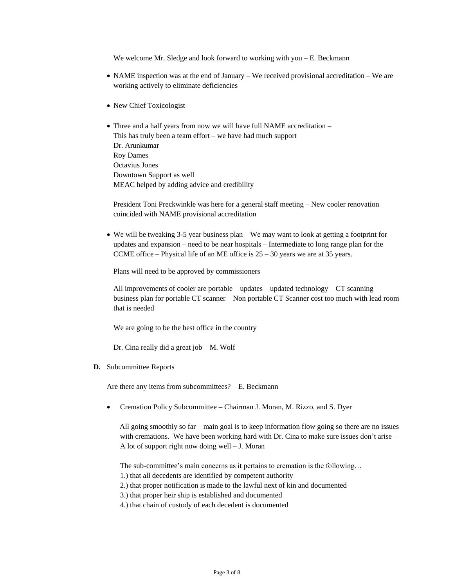We welcome Mr. Sledge and look forward to working with you  $-E$ . Beckmann

- NAME inspection was at the end of January We received provisional accreditation We are working actively to eliminate deficiencies
- New Chief Toxicologist
- Three and a half years from now we will have full NAME accreditation This has truly been a team effort – we have had much support Dr. Arunkumar Roy Dames Octavius Jones Downtown Support as well MEAC helped by adding advice and credibility

President Toni Preckwinkle was here for a general staff meeting – New cooler renovation coincided with NAME provisional accreditation

• We will be tweaking 3-5 year business plan – We may want to look at getting a footprint for updates and expansion – need to be near hospitals – Intermediate to long range plan for the CCME office – Physical life of an ME office is  $25 - 30$  years we are at 35 years.

Plans will need to be approved by commissioners

All improvements of cooler are portable – updates – updated technology – CT scanning – business plan for portable CT scanner – Non portable CT Scanner cost too much with lead room that is needed

We are going to be the best office in the country

Dr. Cina really did a great job – M. Wolf

**D.** Subcommittee Reports

Are there any items from subcommittees? – E. Beckmann

• Cremation Policy Subcommittee – Chairman J. Moran, M. Rizzo, and S. Dyer

 All going smoothly so far – main goal is to keep information flow going so there are no issues with cremations. We have been working hard with Dr. Cina to make sure issues don't arise – A lot of support right now doing well – J. Moran

The sub-committee's main concerns as it pertains to cremation is the following…

- 1.) that all decedents are identified by competent authority
- 2.) that proper notification is made to the lawful next of kin and documented
- 3.) that proper heir ship is established and documented
- 4.) that chain of custody of each decedent is documented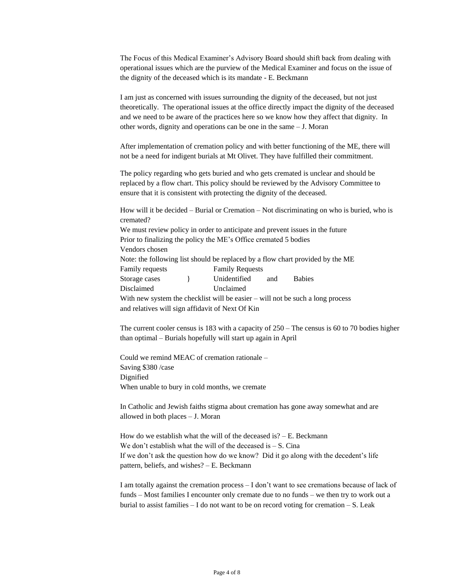The Focus of this Medical Examiner's Advisory Board should shift back from dealing with operational issues which are the purview of the Medical Examiner and focus on the issue of the dignity of the deceased which is its mandate - E. Beckmann

I am just as concerned with issues surrounding the dignity of the deceased, but not just theoretically. The operational issues at the office directly impact the dignity of the deceased and we need to be aware of the practices here so we know how they affect that dignity. In other words, dignity and operations can be one in the same – J. Moran

After implementation of cremation policy and with better functioning of the ME, there will not be a need for indigent burials at Mt Olivet. They have fulfilled their commitment.

The policy regarding who gets buried and who gets cremated is unclear and should be replaced by a flow chart. This policy should be reviewed by the Advisory Committee to ensure that it is consistent with protecting the dignity of the deceased.

How will it be decided – Burial or Cremation – Not discriminating on who is buried, who is cremated?

We must review policy in order to anticipate and prevent issues in the future Prior to finalizing the policy the ME's Office cremated 5 bodies Vendors chosen

Note: the following list should be replaced by a flow chart provided by the ME

Family requests Family Requests

Storage cases  $\qquad$  Unidentified and Babies

Disclaimed Unclaimed

With new system the checklist will be easier – will not be such a long process and relatives will sign affidavit of Next Of Kin

The current cooler census is 183 with a capacity of 250 – The census is 60 to 70 bodies higher than optimal – Burials hopefully will start up again in April

Could we remind MEAC of cremation rationale – Saving \$380 /case Dignified When unable to bury in cold months, we cremate

In Catholic and Jewish faiths stigma about cremation has gone away somewhat and are allowed in both places – J. Moran

How do we establish what the will of the deceased is?  $- E$ . Beckmann We don't establish what the will of the deceased is  $- S$ . Cina If we don't ask the question how do we know? Did it go along with the decedent's life pattern, beliefs, and wishes? – E. Beckmann

I am totally against the cremation process – I don't want to see cremations because of lack of funds – Most families I encounter only cremate due to no funds – we then try to work out a burial to assist families – I do not want to be on record voting for cremation – S. Leak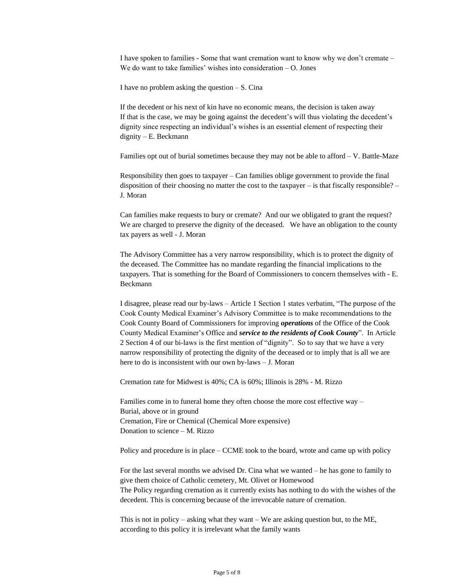I have spoken to families - Some that want cremation want to know why we don't cremate – We do want to take families' wishes into consideration – O. Jones

I have no problem asking the question  $-S$ . Cina

If the decedent or his next of kin have no economic means, the decision is taken away If that is the case, we may be going against the decedent's will thus violating the decedent's dignity since respecting an individual's wishes is an essential element of respecting their dignity – E. Beckmann

Families opt out of burial sometimes because they may not be able to afford – V. Battle-Maze

Responsibility then goes to taxpayer – Can families oblige government to provide the final disposition of their choosing no matter the cost to the taxpayer – is that fiscally responsible? – J. Moran

Can families make requests to bury or cremate? And our we obligated to grant the request? We are charged to preserve the dignity of the deceased. We have an obligation to the county tax payers as well - J. Moran

The Advisory Committee has a very narrow responsibility, which is to protect the dignity of the deceased. The Committee has no mandate regarding the financial implications to the taxpayers. That is something for the Board of Commissioners to concern themselves with - E. Beckmann

I disagree, please read our by-laws – Article 1 Section 1 states verbatim, "The purpose of the Cook County Medical Examiner's Advisory Committee is to make recommendations to the Cook County Board of Commissioners for improving *operations* of the Office of the Cook County Medical Examiner's Office and *service to the residents of Cook County*". In Article 2 Section 4 of our bi-laws is the first mention of "dignity". So to say that we have a very narrow responsibility of protecting the dignity of the deceased or to imply that is all we are here to do is inconsistent with our own by-laws – J. Moran

Cremation rate for Midwest is 40%; CA is 60%; Illinois is 28% - M. Rizzo

Families come in to funeral home they often choose the more cost effective way – Burial, above or in ground Cremation, Fire or Chemical (Chemical More expensive) Donation to science – M. Rizzo

Policy and procedure is in place – CCME took to the board, wrote and came up with policy

For the last several months we advised Dr. Cina what we wanted – he has gone to family to give them choice of Catholic cemetery, Mt. Olivet or Homewood The Policy regarding cremation as it currently exists has nothing to do with the wishes of the decedent. This is concerning because of the irrevocable nature of cremation.

This is not in policy – asking what they want – We are asking question but, to the ME, according to this policy it is irrelevant what the family wants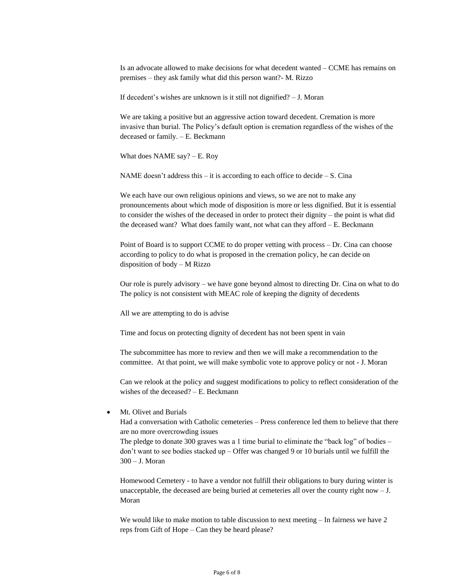Is an advocate allowed to make decisions for what decedent wanted – CCME has remains on premises – they ask family what did this person want?- M. Rizzo

If decedent's wishes are unknown is it still not dignified? – J. Moran

We are taking a positive but an aggressive action toward decedent. Cremation is more invasive than burial. The Policy's default option is cremation regardless of the wishes of the deceased or family. – E. Beckmann

What does NAME say? – E. Roy

NAME doesn't address this  $-$  it is according to each office to decide  $- S$ . Cina

We each have our own religious opinions and views, so we are not to make any pronouncements about which mode of disposition is more or less dignified. But it is essential to consider the wishes of the deceased in order to protect their dignity – the point is what did the deceased want? What does family want, not what can they afford – E. Beckmann

Point of Board is to support CCME to do proper vetting with process – Dr. Cina can choose according to policy to do what is proposed in the cremation policy, he can decide on disposition of body – M Rizzo

Our role is purely advisory – we have gone beyond almost to directing Dr. Cina on what to do The policy is not consistent with MEAC role of keeping the dignity of decedents

All we are attempting to do is advise

Time and focus on protecting dignity of decedent has not been spent in vain

The subcommittee has more to review and then we will make a recommendation to the committee. At that point, we will make symbolic vote to approve policy or not - J. Moran

Can we relook at the policy and suggest modifications to policy to reflect consideration of the wishes of the deceased? – E. Beckmann

Mt. Olivet and Burials

Had a conversation with Catholic cemeteries – Press conference led them to believe that there are no more overcrowding issues

The pledge to donate 300 graves was a 1 time burial to eliminate the "back log" of bodies – don't want to see bodies stacked up – Offer was changed 9 or 10 burials until we fulfill the 300 – J. Moran

Homewood Cemetery - to have a vendor not fulfill their obligations to bury during winter is unacceptable, the deceased are being buried at cemeteries all over the county right now – J. Moran

We would like to make motion to table discussion to next meeting – In fairness we have 2 reps from Gift of Hope – Can they be heard please?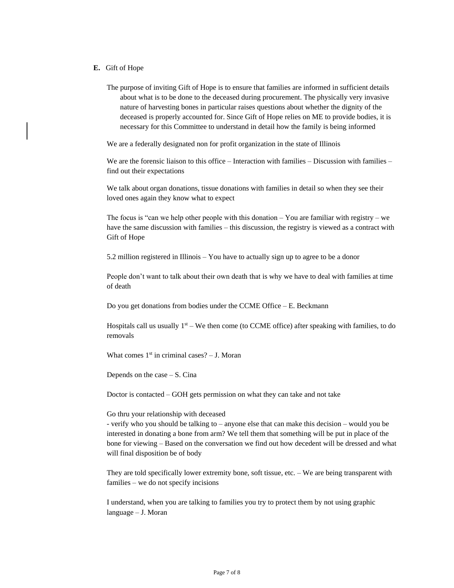### **E.** Gift of Hope

The purpose of inviting Gift of Hope is to ensure that families are informed in sufficient details about what is to be done to the deceased during procurement. The physically very invasive nature of harvesting bones in particular raises questions about whether the dignity of the deceased is properly accounted for. Since Gift of Hope relies on ME to provide bodies, it is necessary for this Committee to understand in detail how the family is being informed

We are a federally designated non for profit organization in the state of Illinois

We are the forensic liaison to this office – Interaction with families – Discussion with families – find out their expectations

We talk about organ donations, tissue donations with families in detail so when they see their loved ones again they know what to expect

The focus is "can we help other people with this donation  $-$  You are familiar with registry  $-$  we have the same discussion with families – this discussion, the registry is viewed as a contract with Gift of Hope

5.2 million registered in Illinois – You have to actually sign up to agree to be a donor

People don't want to talk about their own death that is why we have to deal with families at time of death

Do you get donations from bodies under the CCME Office – E. Beckmann

Hospitals call us usually  $1<sup>st</sup> - We$  then come (to CCME office) after speaking with families, to do removals

What comes  $1<sup>st</sup>$  in criminal cases? – J. Moran

Depends on the case – S. Cina

Doctor is contacted – GOH gets permission on what they can take and not take

Go thru your relationship with deceased

- verify who you should be talking to – anyone else that can make this decision – would you be interested in donating a bone from arm? We tell them that something will be put in place of the bone for viewing – Based on the conversation we find out how decedent will be dressed and what will final disposition be of body

They are told specifically lower extremity bone, soft tissue, etc. – We are being transparent with families – we do not specify incisions

I understand, when you are talking to families you try to protect them by not using graphic language – J. Moran